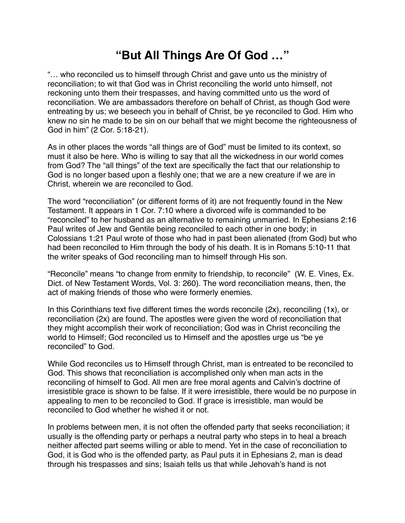## **"But All Things Are Of God …"**

"… who reconciled us to himself through Christ and gave unto us the ministry of reconciliation; to wit that God was in Christ reconciling the world unto himself, not reckoning unto them their trespasses, and having committed unto us the word of reconciliation. We are ambassadors therefore on behalf of Christ, as though God were entreating by us; we beseech you in behalf of Christ, be ye reconciled to God. Him who knew no sin he made to be sin on our behalf that we might become the righteousness of God in him" (2 Cor. 5:18-21).

As in other places the words "all things are of God" must be limited to its context, so must it also be here. Who is willing to say that all the wickedness in our world comes from God? The "all things" of the text are specifically the fact that our relationship to God is no longer based upon a fleshly one; that we are a new creature if we are in Christ, wherein we are reconciled to God.

The word "reconciliation" (or different forms of it) are not frequently found in the New Testament. It appears in 1 Cor. 7:10 where a divorced wife is commanded to be "reconciled" to her husband as an alternative to remaining unmarried. In Ephesians 2:16 Paul writes of Jew and Gentile being reconciled to each other in one body; in Colossians 1:21 Paul wrote of those who had in past been alienated (from God) but who had been reconciled to Him through the body of his death. It is in Romans 5:10-11 that the writer speaks of God reconciling man to himself through His son.

"Reconcile" means "to change from enmity to friendship, to reconcile" (W. E. Vines, Ex. Dict. of New Testament Words, Vol. 3: 260). The word reconciliation means, then, the act of making friends of those who were formerly enemies.

In this Corinthians text five different times the words reconcile (2x), reconciling (1x), or reconciliation (2x) are found. The apostles were given the word of reconciliation that they might accomplish their work of reconciliation; God was in Christ reconciling the world to Himself; God reconciled us to Himself and the apostles urge us "be ye reconciled" to God.

While God reconciles us to Himself through Christ, man is entreated to be reconciled to God. This shows that reconciliation is accomplished only when man acts in the reconciling of himself to God. All men are free moral agents and Calvin's doctrine of irresistible grace is shown to be false. If it were irresistible, there would be no purpose in appealing to men to be reconciled to God. If grace is irresistible, man would be reconciled to God whether he wished it or not.

In problems between men, it is not often the offended party that seeks reconciliation; it usually is the offending party or perhaps a neutral party who steps in to heal a breach neither affected part seems willing or able to mend. Yet in the case of reconciliation to God, it is God who is the offended party, as Paul puts it in Ephesians 2, man is dead through his trespasses and sins; Isaiah tells us that while Jehovah's hand is not